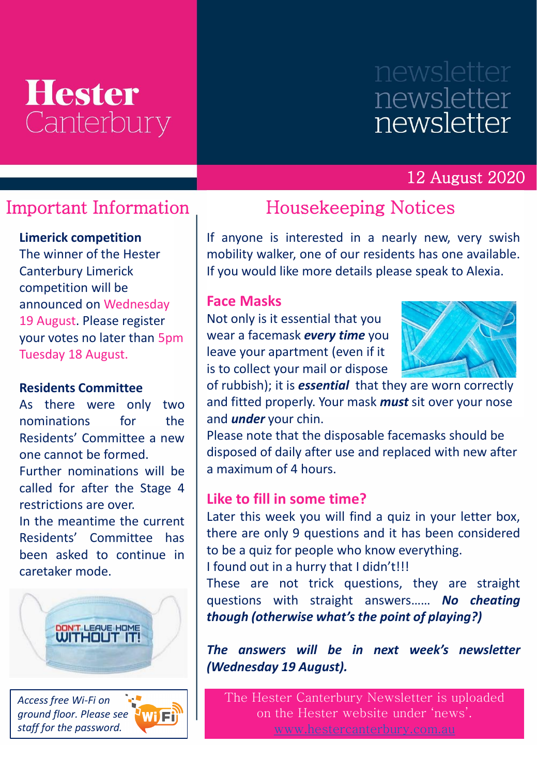# **Hester** Canterbury

# newsletter newsletter

# 12 August 2020

### **Limerick competition**

The winner of the Hester Canterbury Limerick competition will be announced on Wednesday 19 August. Please register your votes no later than 5pm Tuesday 18 August.

#### **Residents Committee**

As there were only two nominations for the Residents' Committee a new one cannot be formed. Further nominations will be called for after the Stage 4 restrictions are over. In the meantime the current Residents' Committee has

been asked to continue in caretaker mode.



*Access free Wi-Fi on ground floor. Please see staff for the password.*



# Important Information Housekeeping Notices

If anyone is interested in a nearly new, very swish mobility walker, one of our residents has one available. If you would like more details please speak to Alexia.

## **Face Masks**

Not only is it essential that you wear a facemask *every time* you leave your apartment (even if it is to collect your mail or dispose



of rubbish); it is *essential* that they are worn correctly and fitted properly. Your mask *must* sit over your nose and *under* your chin.

Please note that the disposable facemasks should be disposed of daily after use and replaced with new after a maximum of 4 hours.

# **Like to fill in some time?**

Later this week you will find a quiz in your letter box, there are only 9 questions and it has been considered to be a quiz for people who know everything. I found out in a hurry that I didn't!!!

These are not trick questions, they are straight questions with straight answers…… *No cheating though (otherwise what's the point of playing?)*

*The answers will be in next week's newsletter (Wednesday 19 August).*

The Hester Canterbury Newsletter is uploaded on the Hester website under 'news'.